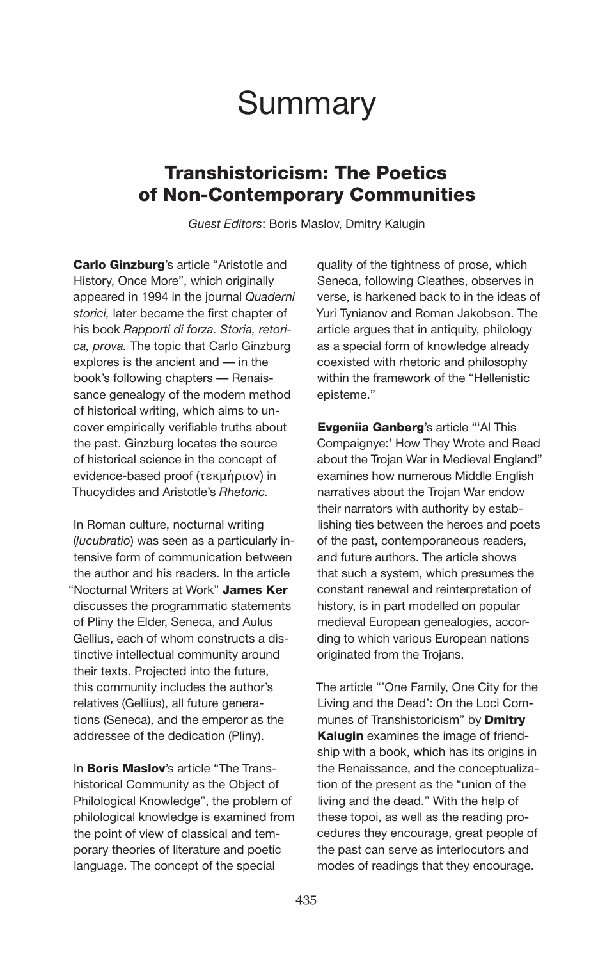# **Summary**

# Transhistoricism: The Poetics of Non-Contemporary Communities

*Guest Editors*: Boris Maslov, Dmitry Kalugin

Carlo Ginzburg's article "Aristotle and History, Once More", which originally appeared in 1994 in the journal *Quaderni storici,* later became the first chapter of his book *Rapporti di forza. Storia, retorica, prova.* The topic that Carlo Ginzburg explores is the ancient and — in the book's following chapters — Renaissance genealogy of the modern method of historical writing, which aims to uncover empirically verifiable truths about the past. Ginzburg locates the source of historical science in the concept of evidence-based proof (τεκμήριον) in Thucydides and Aristotle's *Rhetoric.*

In Roman culture, nocturnal writing (*lucubratio*) was seen as a particularly intensive form of communication between the author and his readers. In the article "Nocturnal Writers at Work" James Ker discusses the programmatic statements of Pliny the Elder, Seneca, and Aulus Gellius, each of whom constructs a distinctive intellectual community around their texts. Projected into the future, this community includes the author's relatives (Gellius), all future generations (Seneca), and the emperor as the addressee of the dedication (Pliny).

In **Boris Maslov**'s article "The Transhistorical Community as the Object of Philological Knowledge", the problem of philological knowledge is examined from the point of view of classical and temporary theories of literature and poetic language. The concept of the special

quality of the tightness of prose, which Seneca, following Cleathes, observes in verse, is harkened back to in the ideas of Yuri Tynianov and Roman Jakobson. The article argues that in antiquity, philology as a special form of knowledge already coexisted with rhetoric and philosophy within the framework of the "Hellenistic episteme."

Evgeniia Ganberg's article "'Al This Compaignye:' How They Wrote and Read about the Trojan War in Medieval England" examines how numerous Middle English narratives about the Trojan War endow their narrators with authority by establishing ties between the heroes and poets of the past, contemporaneous readers, and future authors. The article shows that such a system, which presumes the constant renewal and reinterpretation of history, is in part modelled on popular medieval European genealogies, according to which various European nations originated from the Trojans.

The article "'Оne Family, One City for the Living and the Dead': On the Loci Communes of Transhistoricism" by **Dmitry** Kalugin examines the image of friendship with a book, which has its origins in the Renaissance, and the conceptualization of the present as the "union of the living and the dead." With the help of these topoi, as well as the reading procedures they encourage, great people of the past can serve as interlocutors and modes of readings that they encourage.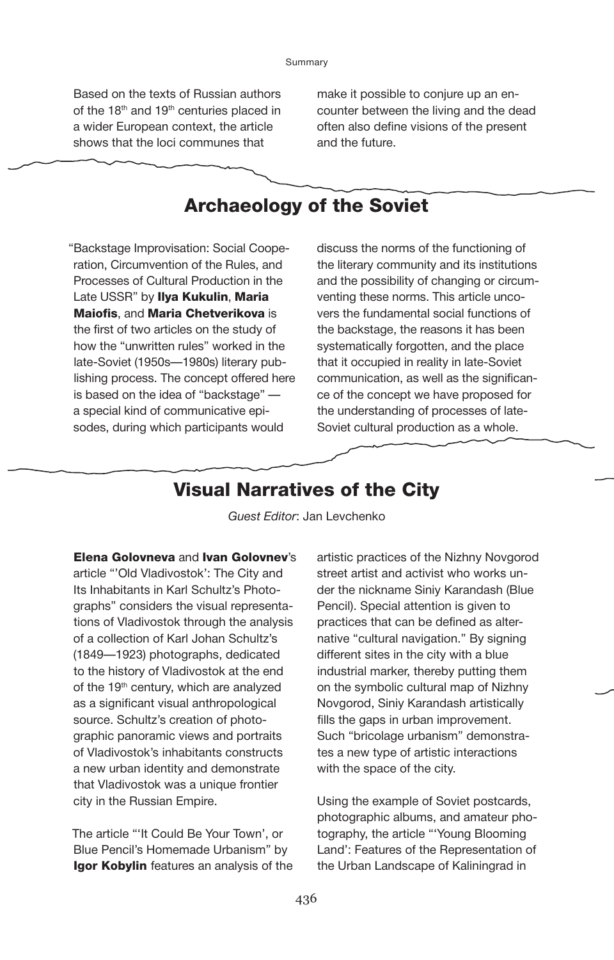Based on the texts of Russian authors of the 18<sup>th</sup> and 19<sup>th</sup> centuries placed in a wider European context, the article shows that the loci communes that

make it possible to conjure up an encounter between the living and the dead often also define visions of the present and the future.

# Archaeology of the Soviet

"Backstage Improvisation: Social Cooperation, Circumvention of the Rules, and Processes of Cultural Production in the Late USSR" by Ilya Kukulin, Maria Maiofis, and Maria Chetverikova is the first of two articles on the study of how the "unwritten rules" worked in the late-Soviet (1950s—1980s) literary publishing process. The concept offered here is based on the idea of "backstage" a special kind of communicative episodes, during which participants would

discuss the norms of the functioning of the literary community and its institutions and the possibility of changing or circumventing these norms. This article uncovers the fundamental social functions of the backstage, the reasons it has been systematically forgotten, and the place that it occupied in reality in late-Soviet communication, as well as the significance of the concept we have proposed for the understanding of processes of late-Soviet cultural production as a whole.

#### Visual Narratives of the City

*Guest Editor*: Jan Levchenko

Elena Golovneva and Ivan Golovnev's article "'Old Vladivostok': The City and Its Inhabitants in Karl Schultz's Photographs" considers the visual representations of Vladivostok through the analysis of a collection of Karl Johan Schultz's (1849—1923) photographs, dedicated to the history of Vladivostok at the end of the 19<sup>th</sup> century, which are analyzed as a significant visual anthropological source. Schultz's creation of photographic panoramic views and portraits of Vladivostok's inhabitants constructs a new urban identity and demonstrate that Vladivostok was a unique frontier city in the Russian Empire.

The article "'It Could Be Your Town', or Blue Pencil's Homemade Urbanism" by **Igor Kobylin** features an analysis of the

artistic practices of the Nizhny Novgorod street artist and activist who works under the nickname Siniy Karandash (Blue Pencil). Special attention is given to practices that can be defined as alternative "cultural navigation." By signing different sites in the city with a blue industrial marker, thereby putting them on the symbolic cultural map of Nizhny Novgorod, Siniy Karandash artistically fills the gaps in urban improvement. Such "bricolage urbanism" demonstrates a new type of artistic interactions with the space of the city.

Using the example of Soviet postcards, photographic albums, and amateur photography, the article "'Young Blooming Land': Features of the Representation of the Urban Landscape of Kaliningrad in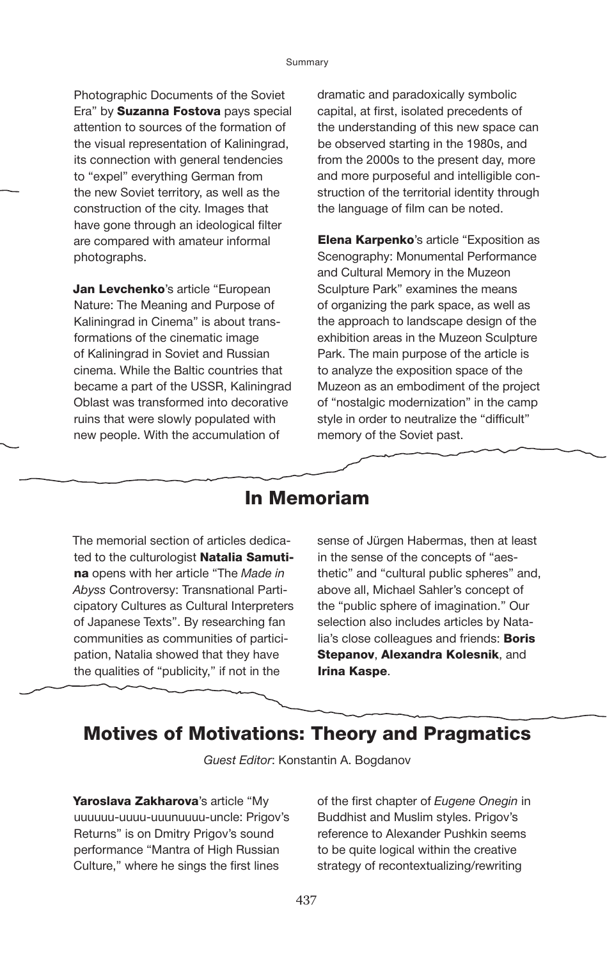Photographic Documents of the Soviet Era" by **Suzanna Fostova** pays special attention to sources of the formation of the visual representation of Kaliningrad, its connection with general tendencies to "expel" everything German from the new Soviet territory, as well as the construction of the city. Images that have gone through an ideological filter are compared with amateur informal photographs.

Jan Levchenko's article "European Nature: The Meaning and Purpose of Kaliningrad in Cinema" is about transformations of the cinematic image of Kaliningrad in Soviet and Russian cinema. While the Baltic countries that became a part of the USSR, Kaliningrad Oblast was transformed into decorative ruins that were slowly populated with new people. With the accumulation of

dramatic and paradoxically symbolic capital, at first, isolated precedents of the understanding of this new space can be observed starting in the 1980s, and from the 2000s to the present day, more and more purposeful and intelligible construction of the territorial identity through the language of film can be noted.

**Elena Karpenko's article "Exposition as** Scenography: Monumental Performance and Cultural Memory in the Muzeon Sculpture Park" examines the means of organizing the park space, as well as the approach to landscape design of the exhibition areas in the Muzeon Sculpture Park. The main purpose of the article is to analyze the exposition space of the Muzeon as an embodiment of the project of "nostalgic modernization" in the camp style in order to neutralize the "difficult" memory of the Soviet past.

### In Memoriam

The memorial section of articles dedicated to the culturologist Natalia Samutina opens with her article "The *Made in Abyss* Controversy: Transnational Participatory Cultures as Cultural Interpreters of Japanese Texts". By researching fan communities as communities of participation, Natalia showed that they have the qualities of "publicity," if not in the

sense of Jürgen Habermas, then at least in the sense of the concepts of "aesthetic" and "cultural public spheres" and, above all, Michael Sahler's concept of the "public sphere of imagination." Our selection also includes articles by Natalia's close colleagues and friends: Boris Stepanov, Alexandra Kolesnik, and Irina Kaspe.

# Motives of Motivations: Theory and Pragmatics

*Guest Editor*: Konstantin A. Bogdanov

Yaroslava Zakharova's article "My uuuuuu-uuuu-uuunuuuu-uncle: Prigov's Returns" is on Dmitry Prigov's sound performance "Mantra of High Russian Culture," where he sings the first lines

of the first chapter of *Eugene Onegin* in Buddhist and Muslim styles. Prigov's reference to Alexander Pushkin seems to be quite logical within the creative strategy of recontextualizing/rewriting